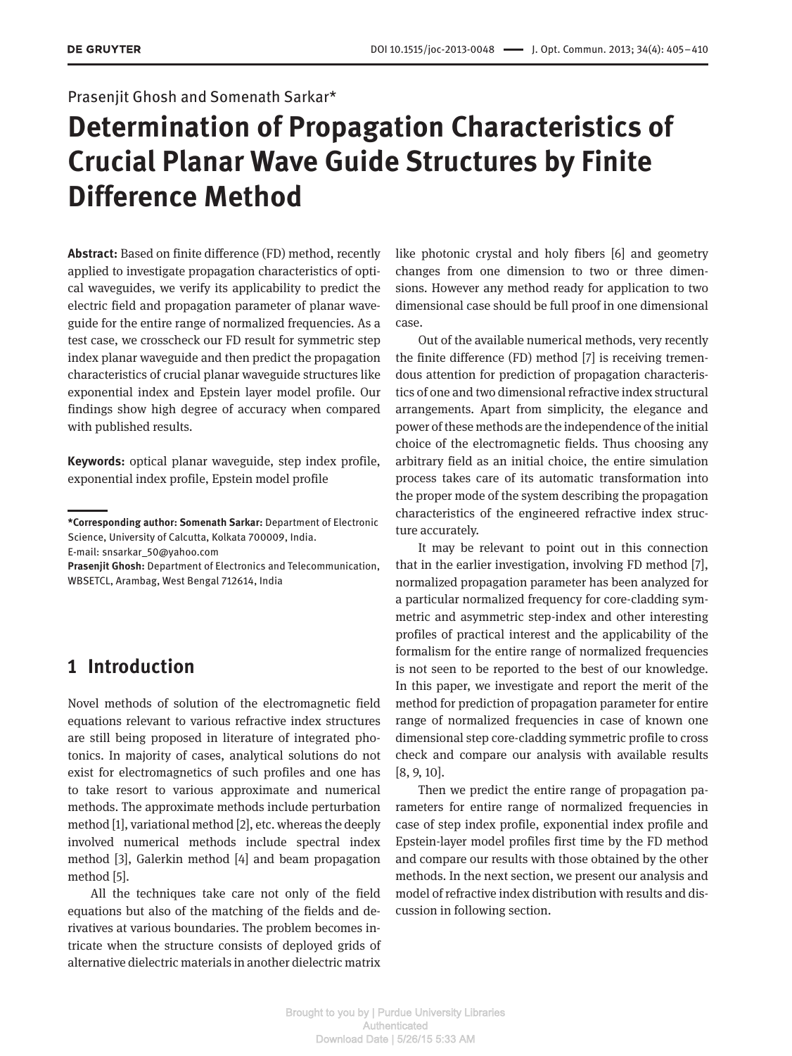## Prasenjit Ghosh and Somenath Sarkar\*

# **Determination of Propagation Characteristics of Crucial Planar Wave Guide Structures by Finite Difference Method**

**Abstract:** Based on finite difference (FD) method, recently applied to investigate propagation characteristics of optical waveguides, we verify its applicability to predict the electric field and propagation parameter of planar waveguide for the entire range of normalized frequencies. As a test case, we crosscheck our FD result for symmetric step index planar waveguide and then predict the propagation characteristics of crucial planar waveguide structures like exponential index and Epstein layer model profile. Our findings show high degree of accuracy when compared with published results.

**Keywords:** optical planar waveguide, step index profile, exponential index profile, Epstein model profile

E-mail: snsarkar\_50@yahoo.com

**Prasenjit Ghosh:** Department of Electronics and Telecommunication, WBSETCL, Arambag, West Bengal 712614, India

# **1 Introduction**

Novel methods of solution of the electromagnetic field equations relevant to various refractive index structures are still being proposed in literature of integrated photonics. In majority of cases, analytical solutions do not exist for electromagnetics of such profiles and one has to take resort to various approximate and numerical methods. The approximate methods include perturbation method [1], variational method [2], etc. whereas the deeply involved numerical methods include spectral index method [3], Galerkin method [4] and beam propagation method [5].

All the techniques take care not only of the field equations but also of the matching of the fields and derivatives at various boundaries. The problem becomes intricate when the structure consists of deployed grids of alternative dielectric materials in another dielectric matrix

like photonic crystal and holy fibers [6] and geometry changes from one dimension to two or three dimensions. However any method ready for application to two dimensional case should be full proof in one dimensional case.

Out of the available numerical methods, very recently the finite difference (FD) method [7] is receiving tremendous attention for prediction of propagation characteristics of one and two dimensional refractive index structural arrangements. Apart from simplicity, the elegance and power of these methods are the independence of the initial choice of the electromagnetic fields. Thus choosing any arbitrary field as an initial choice, the entire simulation process takes care of its automatic transformation into the proper mode of the system describing the propagation characteristics of the engineered refractive index structure accurately.

It may be relevant to point out in this connection that in the earlier investigation, involving FD method [7], normalized propagation parameter has been analyzed for a particular normalized frequency for core-cladding symmetric and asymmetric step-index and other interesting profiles of practical interest and the applicability of the formalism for the entire range of normalized frequencies is not seen to be reported to the best of our knowledge. In this paper, we investigate and report the merit of the method for prediction of propagation parameter for entire range of normalized frequencies in case of known one dimensional step core-cladding symmetric profile to cross check and compare our analysis with available results [8, 9, 10].

Then we predict the entire range of propagation parameters for entire range of normalized frequencies in case of step index profile, exponential index profile and Epstein-layer model profiles first time by the FD method and compare our results with those obtained by the other methods. In the next section, we present our analysis and model of refractive index distribution with results and discussion in following section.

**<sup>\*</sup>Corresponding author: Somenath Sarkar:** Department of Electronic Science, University of Calcutta, Kolkata 700009, India.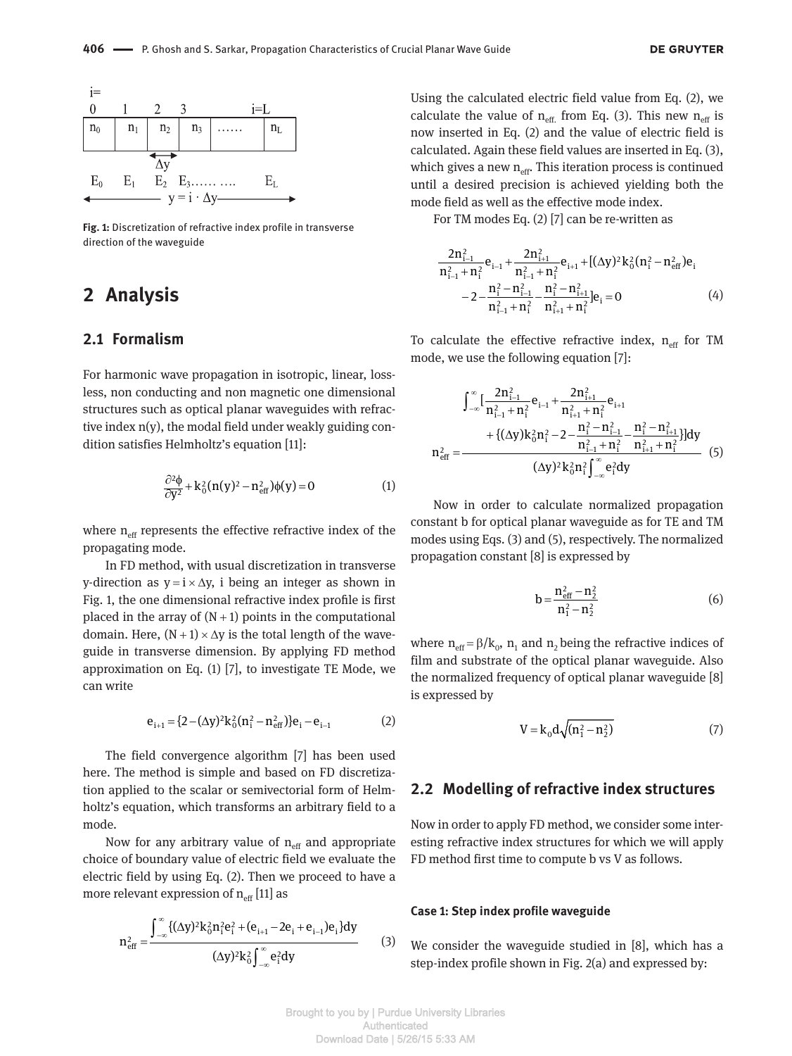

**Fig. 1:** Discretization of refractive index profile in transverse direction of the waveguide

# **2 Analysis**

### **2.1 Formalism**

For harmonic wave propagation in isotropic, linear, lossless, non conducting and non magnetic one dimensional structures such as optical planar waveguides with refractive index n(y), the modal field under weakly guiding condition satisfies Helmholtz's equation [11]:

$$
\frac{\partial^2 \phi}{\partial y^2} + k_0^2 (n(y)^2 - n_{\text{eff}}^2) \phi(y) = 0 \tag{1}
$$

where  $n_{\text{eff}}$  represents the effective refractive index of the propagating mode.

In FD method, with usual discretization in transverse y-direction as  $y = i \times \Delta y$ , i being an integer as shown in Fig. 1, the one dimensional refractive index profile is first placed in the array of  $(N+1)$  points in the computational domain. Here,  $(N + 1) \times \Delta y$  is the total length of the waveguide in transverse dimension. By applying FD method approximation on Eq. (1) [7], to investigate TE Mode, we can write

$$
e_{i+1} = \{2 - (\Delta y)^2 k_0^2 (n_i^2 - n_{eff}^2)\} e_i - e_{i-1}
$$
 (2)

The field convergence algorithm [7] has been used here. The method is simple and based on FD discretization applied to the scalar or semivectorial form of Helmholtz's equation, which transforms an arbitrary field to a mode.

Now for any arbitrary value of  $n_{\text{eff}}$  and appropriate choice of boundary value of electric field we evaluate the electric field by using Eq. (2). Then we proceed to have a more relevant expression of  $n_{\text{eff}}$  [11] as

$$
n_{eff}^{2} = \frac{\int_{-\infty}^{\infty} \{(\Delta y)^{2} k_{0}^{2} n_{i}^{2} e_{i}^{2} + (e_{i+1} - 2e_{i} + e_{i-1}) e_{i}\} dy}{(\Delta y)^{2} k_{0}^{2} \int_{-\infty}^{\infty} e_{i}^{2} dy}
$$
(3)

Using the calculated electric field value from Eq. (2), we calculate the value of  $n_{\text{eff}}$  from Eq. (3). This new  $n_{\text{eff}}$  is now inserted in Eq. (2) and the value of electric field is calculated. Again these field values are inserted in Eq. (3), which gives a new  $n_{\text{eff}}$ . This iteration process is continued until a desired precision is achieved yielding both the mode field as well as the effective mode index.

For TM modes Eq.  $(2)$  [7] can be re-written as

$$
\frac{2n_{i-1}^2}{n_{i-1}^2 + n_i^2} e_{i-1} + \frac{2n_{i+1}^2}{n_{i-1}^2 + n_i^2} e_{i+1} + [(\Delta y)^2 k_0^2 (n_i^2 - n_{eff}^2) e_i
$$
  

$$
-2 - \frac{n_i^2 - n_{i-1}^2}{n_{i-1}^2 + n_i^2} - \frac{n_i^2 - n_{i+1}^2}{n_{i+1}^2 + n_i^2} e_i = 0
$$
 (4)

To calculate the effective refractive index,  $n_{\text{eff}}$  for TM mode, we use the following equation [7]:

$$
\int_{-\infty}^{\infty} \left[ \frac{2n_{i-1}^2}{n_{i-1}^2 + n_i^2} e_{i-1} + \frac{2n_{i+1}^2}{n_{i+1}^2 + n_i^2} e_{i+1} + \left\{ (\Delta y) k_0^2 n_i^2 - 2 - \frac{n_i^2 - n_{i-1}^2}{n_{i-1}^2 + n_i^2} - \frac{n_i^2 - n_{i+1}^2}{n_{i+1}^2 + n_i^2} \right\} \right] dy
$$

$$
n_{eff}^2 = \frac{(\Delta y)^2 k_0^2 n_i^2 \int_{-\infty}^{\infty} e_i^2 dy}{(\Delta y)^2 k_0^2 n_i^2 \int_{-\infty}^{\infty} e_i^2 dy} \tag{5}
$$

Now in order to calculate normalized propagation constant b for optical planar waveguide as for TE and TM modes using Eqs. (3) and (5), respectively. The normalized propagation constant [8] is expressed by

$$
b = \frac{n_{\text{eff}}^2 - n_2^2}{n_1^2 - n_2^2} \tag{6}
$$

where  $n_{\text{eff}} = \beta / k_0$ ,  $n_1$  and  $n_2$  being the refractive indices of film and substrate of the optical planar waveguide. Also the normalized frequency of optical planar waveguide [8] is expressed by

$$
V = k_0 d \sqrt{(n_1^2 - n_2^2)} \tag{7}
$$

#### **2.2 Modelling of refractive index structures**

Now in order to apply FD method, we consider some interesting refractive index structures for which we will apply FD method first time to compute b vs V as follows.

#### **Case 1: Step index profile waveguide**

We consider the waveguide studied in [8], which has a step-index profile shown in Fig. 2(a) and expressed by: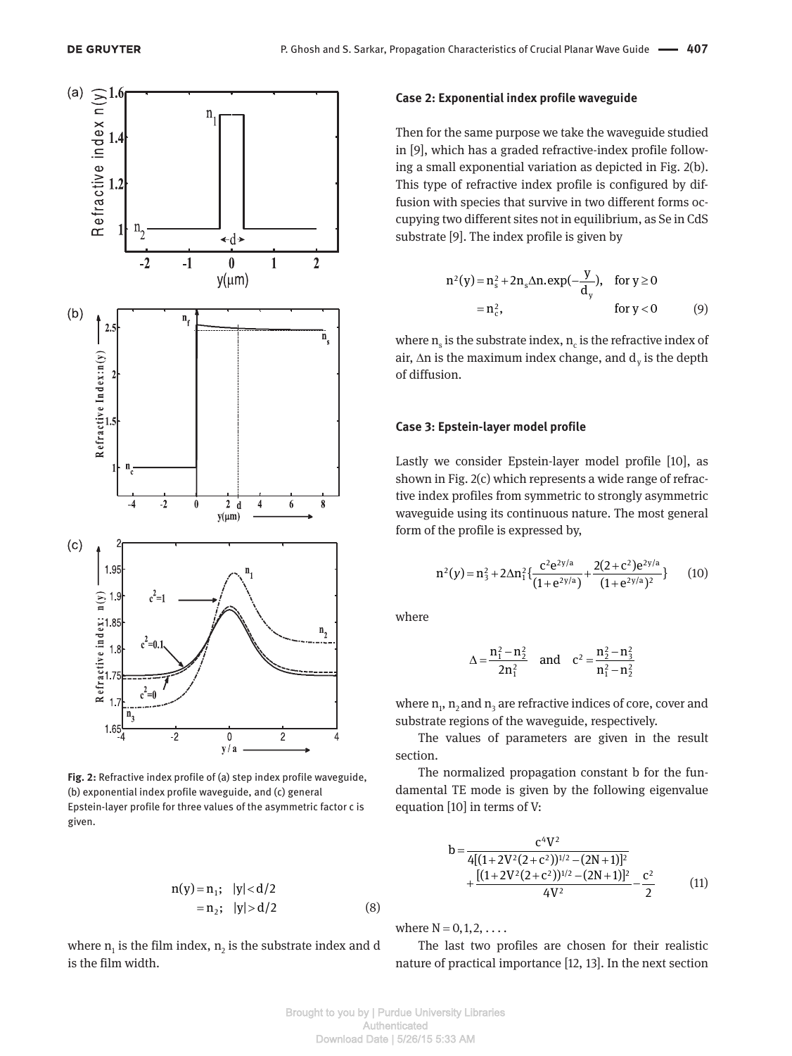

**Fig. 2:** Refractive index profile of (a) step index profile waveguide, (b) exponential index profile waveguide, and (c) general Epstein-layer profile for three values of the asymmetric factor c is given.

$$
n(y) = n_1; |y| < d/2
$$
  
= n<sub>2</sub>; |y| > d/2 (8)

where  $n_1$  is the film index,  $n_2$  is the substrate index and d is the film width.

#### **Case 2: Exponential index profile waveguide**

Then for the same purpose we take the waveguide studied in  $[9]$ , which has a graded refractive-index profile following a small exponential variation as depicted in Fig. 2(b). This type of refractive index profile is configured by diffusion with species that survive in two different forms occupying two different sites not in equilibrium, as Se in CdS substrate [9]. The index profile is given by

$$
n^{2}(y) = n_{s}^{2} + 2n_{s}\Delta n \cdot exp(-\frac{y}{d_{y}}), \text{ for } y \ge 0
$$
  
= n\_{c}^{2}, \text{ for } y < 0 \qquad (9)

where  $\mathtt{n}_{\mathrm{s}}$  is the substrate index,  $\mathtt{n}_{\mathrm{c}}$  is the refractive index of air,  $\Delta n$  is the maximum index change, and  $d_y$  is the depth of diffusion.

#### **Case 3: Epstein-layer model profile**

Lastly we consider Epstein-layer model profile [10], as shown in Fig. 2(c) which represents a wide range of refractive index profiles from symmetric to strongly asymmetric waveguide using its continuous nature. The most general form of the profile is expressed by,

$$
n^{2}(y) = n_{3}^{2} + 2\Delta n_{1}^{2}\left\{\frac{c^{2}e^{2y/a}}{(1 + e^{2y/a})} + \frac{2(2 + c^{2})e^{2y/a}}{(1 + e^{2y/a})^{2}}\right\}
$$
 (10)

where

$$
\Delta = \frac{n_1^2 - n_2^2}{2n_1^2} \quad \text{and} \quad c^2 = \frac{n_2^2 - n_3^2}{n_1^2 - n_2^2}
$$

where  $\mathbf{n_{1},\,n_{2}}$  and  $\mathbf{n_{3}}$  are refractive indices of core, cover and substrate regions of the waveguide, respectively.

The values of parameters are given in the result section.

The normalized propagation constant b for the fundamental TE mode is given by the following eigenvalue equation [10] in terms of V:

$$
b = \frac{c^4 V^2}{4[(1+2V^2(2+c^2))^{1/2} - (2N+1)]^2} + \frac{[(1+2V^2(2+c^2))^{1/2} - (2N+1)]^2}{4V^2} - \frac{c^2}{2}
$$
(11)

where  $N = 0, 1, 2, \ldots$ 

The last two profiles are chosen for their realistic nature of practical importance [12, 13]. In the next section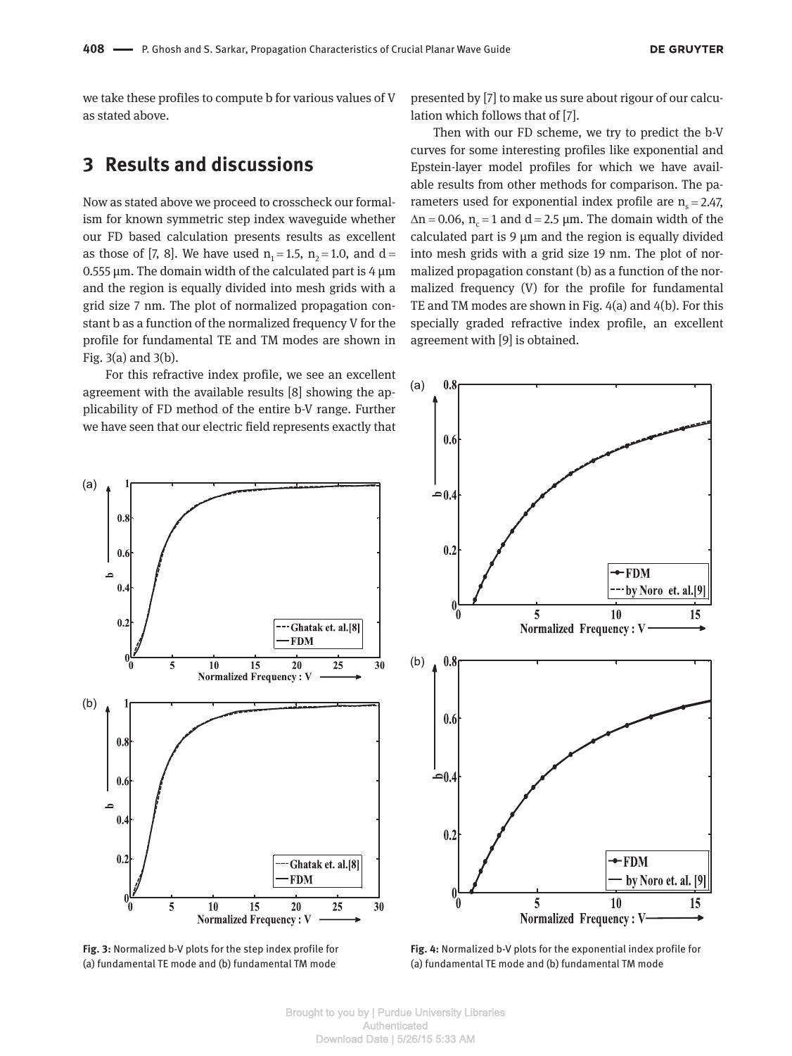we take these profiles to compute b for various values of V as stated above.

# **3 Results and discussions**

Now as stated above we proceed to crosscheck our formalism for known symmetric step index waveguide whether our FD based calculation presents results as excellent as those of [7, 8]. We have used  $n_1 = 1.5$ ,  $n_2 = 1.0$ , and d = 0.555 μm. The domain width of the calculated part is 4 μm and the region is equally divided into mesh grids with a grid size 7 nm. The plot of normalized propagation constant b as a function of the normalized frequency V for the profile for fundamental TE and TM modes are shown in Fig. 3(a) and 3(b).

For this refractive index profile, we see an excellent agreement with the available results [8] showing the applicability of FD method of the entire b-V range. Further we have seen that our electric field represents exactly that presented by [7] to make us sure about rigour of our calculation which follows that of [7].

Then with our FD scheme, we try to predict the b-V curves for some interesting profiles like exponential and Epstein-layer model profiles for which we have available results from other methods for comparison. The parameters used for exponential index profile are  $n_s = 2.47$ ,  $\Delta n = 0.06$ ,  $n_c = 1$  and  $d = 2.5$  µm. The domain width of the calculated part is 9 μm and the region is equally divided into mesh grids with a grid size 19 nm. The plot of normalized propagation constant (b) as a function of the normalized frequency (V) for the profile for fundamental TE and TM modes are shown in Fig. 4(a) and 4(b). For this specially graded refractive index profile, an excellent agreement with [9] is obtained.







**Fig. 4:** Normalized b-V plots for the exponential index profile for (a) fundamental TE mode and (b) fundamental TM mode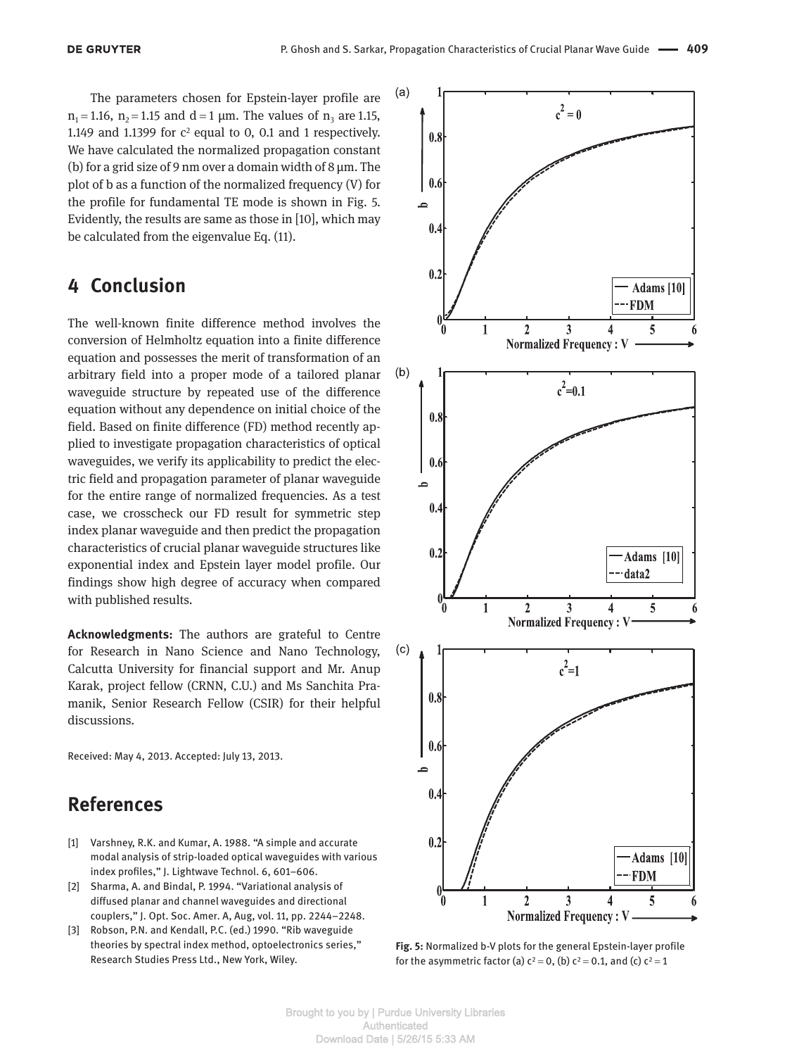The parameters chosen for Epstein-layer profile are  $n_1 = 1.16$ ,  $n_2 = 1.15$  and  $d = 1 \mu m$ . The values of  $n_3$  are 1.15, 1.149 and 1.1399 for  $c^2$  equal to 0, 0.1 and 1 respectively. We have calculated the normalized propagation constant (b) for a grid size of 9 nm over a domain width of 8  $\mu$ m. The plot of b as a function of the normalized frequency (V) for the profile for fundamental TE mode is shown in Fig. 5. Evidently, the results are same as those in [10], which may be calculated from the eigenvalue Eq. (11).

# **4 Conclusion**

The well-known finite difference method involves the conversion of Helmholtz equation into a finite difference equation and possesses the merit of transformation of an arbitrary field into a proper mode of a tailored planar waveguide structure by repeated use of the difference equation without any dependence on initial choice of the field. Based on finite difference (FD) method recently applied to investigate propagation characteristics of optical waveguides, we verify its applicability to predict the electric field and propagation parameter of planar waveguide for the entire range of normalized frequencies. As a test case, we crosscheck our FD result for symmetric step index planar waveguide and then predict the propagation characteristics of crucial planar waveguide structures like exponential index and Epstein layer model profile. Our findings show high degree of accuracy when compared with published results.

**Acknowledgments:** The authors are grateful to Centre for Research in Nano Science and Nano Technology, Calcutta University for financial support and Mr. Anup Karak, project fellow (CRNN, C.U.) and Ms Sanchita Pramanik, Senior Research Fellow (CSIR) for their helpful discussions.

Received: May 4, 2013. Accepted: July 13, 2013.

# **References**

- [1] Varshney, R.K. and Kumar, A. 1988. "A simple and accurate modal analysis of strip-loaded optical waveguides with various index profiles," J. Lightwave Technol. 6, 601–606.
- [2] Sharma, A. and Bindal, P. 1994. "Variational analysis of diffused planar and channel waveguides and directional couplers," J. Opt. Soc. Amer. A, Aug, vol. 11, pp. 2244–2248.
- [3] Robson, P.N. and Kendall, P.C. (ed.) 1990. "Rib waveguide theories by spectral index method, optoelectronics series," Research Studies Press Ltd., New York, Wiley.



**Fig. 5:** Normalized b-V plots for the general Epstein-layer profile for the asymmetric factor (a)  $c^2 = 0$ , (b)  $c^2 = 0.1$ , and (c)  $c^2 = 1$